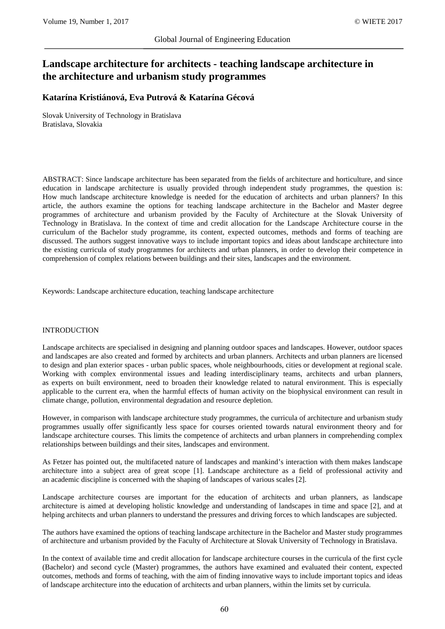# **Landscape architecture for architects - teaching landscape architecture in the architecture and urbanism study programmes**

# **Katarína Kristiánová, Eva Putrová & Katarína Gécová**

Slovak University of Technology in Bratislava Bratislava, Slovakia

ABSTRACT: Since landscape architecture has been separated from the fields of architecture and horticulture, and since education in landscape architecture is usually provided through independent study programmes, the question is: How much landscape architecture knowledge is needed for the education of architects and urban planners? In this article, the authors examine the options for teaching landscape architecture in the Bachelor and Master degree programmes of architecture and urbanism provided by the Faculty of Architecture at the Slovak University of Technology in Bratislava. In the context of time and credit allocation for the Landscape Architecture course in the curriculum of the Bachelor study programme, its content, expected outcomes, methods and forms of teaching are discussed. The authors suggest innovative ways to include important topics and ideas about landscape architecture into the existing curricula of study programmes for architects and urban planners, in order to develop their competence in comprehension of complex relations between buildings and their sites, landscapes and the environment.

Keywords: Landscape architecture education, teaching landscape architecture

## INTRODUCTION

Landscape architects are specialised in designing and planning outdoor spaces and landscapes. However, outdoor spaces and landscapes are also created and formed by architects and urban planners. Architects and urban planners are licensed to design and plan exterior spaces - urban public spaces, whole neighbourhoods, cities or development at regional scale. Working with complex environmental issues and leading interdisciplinary teams, architects and urban planners, as experts on built environment, need to broaden their knowledge related to natural environment. This is especially applicable to the current era, when the harmful effects of human activity on the biophysical environment can result in climate change, pollution, environmental degradation and resource depletion.

However, in comparison with landscape architecture study programmes, the curricula of architecture and urbanism study programmes usually offer significantly less space for courses oriented towards natural environment theory and for landscape architecture courses. This limits the competence of architects and urban planners in comprehending complex relationships between buildings and their sites, landscapes and environment.

As Fetzer has pointed out, the multifaceted nature of landscapes and mankind's interaction with them makes landscape architecture into a subject area of great scope [1]. Landscape architecture as a field of professional activity and an academic discipline is concerned with the shaping of landscapes of various scales [2].

Landscape architecture courses are important for the education of architects and urban planners, as landscape architecture is aimed at developing holistic knowledge and understanding of landscapes in time and space [2], and at helping architects and urban planners to understand the pressures and driving forces to which landscapes are subjected.

The authors have examined the options of teaching landscape architecture in the Bachelor and Master study programmes of architecture and urbanism provided by the Faculty of Architecture at Slovak University of Technology in Bratislava.

In the context of available time and credit allocation for landscape architecture courses in the curricula of the first cycle (Bachelor) and second cycle (Master) programmes, the authors have examined and evaluated their content, expected outcomes, methods and forms of teaching, with the aim of finding innovative ways to include important topics and ideas of landscape architecture into the education of architects and urban planners, within the limits set by curricula.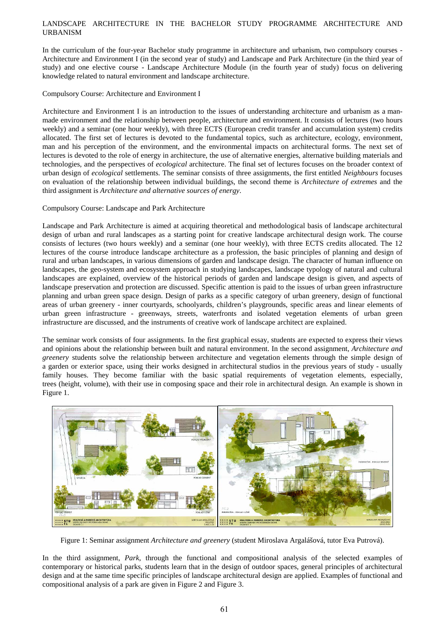## LANDSCAPE ARCHITECTURE IN THE BACHELOR STUDY PROGRAMME ARCHITECTURE AND URBANISM

In the curriculum of the four-year Bachelor study programme in architecture and urbanism, two compulsory courses - Architecture and Environment I (in the second year of study) and Landscape and Park Architecture (in the third year of study) and one elective course - Landscape Architecture Module (in the fourth year of study) focus on delivering knowledge related to natural environment and landscape architecture.

## Compulsory Course: Architecture and Environment I

Architecture and Environment I is an introduction to the issues of understanding architecture and urbanism as a manmade environment and the relationship between people, architecture and environment. It consists of lectures (two hours weekly) and a seminar (one hour weekly), with three ECTS (European credit transfer and accumulation system) credits allocated. The first set of lectures is devoted to the fundamental topics, such as architecture, ecology, environment, man and his perception of the environment, and the environmental impacts on architectural forms. The next set of lectures is devoted to the role of energy in architecture, the use of alternative energies, alternative building materials and technologies, and the perspectives of *ecological* architecture. The final set of lectures focuses on the broader context of urban design of *ecological* settlements. The seminar consists of three assignments, the first entitled *Neighbours* focuses on evaluation of the relationship between individual buildings, the second theme is *Architecture of extremes* and the third assignment is *Architecture and alternative sources of energy*.

## Compulsory Course: Landscape and Park Architecture

Landscape and Park Architecture is aimed at acquiring theoretical and methodological basis of landscape architectural design of urban and rural landscapes as a starting point for creative landscape architectural design work. The course consists of lectures (two hours weekly) and a seminar (one hour weekly), with three ECTS credits allocated. The 12 lectures of the course introduce landscape architecture as a profession, the basic principles of planning and design of rural and urban landscapes, in various dimensions of garden and landscape design. The character of human influence on landscapes, the geo-system and ecosystem approach in studying landscapes, landscape typology of natural and cultural landscapes are explained, overview of the historical periods of garden and landscape design is given, and aspects of landscape preservation and protection are discussed. Specific attention is paid to the issues of urban green infrastructure planning and urban green space design. Design of parks as a specific category of urban greenery, design of functional areas of urban greenery - inner courtyards, schoolyards, children's playgrounds, specific areas and linear elements of urban green infrastructure - greenways, streets, waterfronts and isolated vegetation elements of urban green infrastructure are discussed, and the instruments of creative work of landscape architect are explained.

The seminar work consists of four assignments. In the first graphical essay, students are expected to express their views and opinions about the relationship between built and natural environment. In the second assignment, *Architecture and greenery* students solve the relationship between architecture and vegetation elements through the simple design of a garden or exterior space, using their works designed in architectural studios in the previous years of study - usually family houses. They become familiar with the basic spatial requirements of vegetation elements, especially, trees (height, volume), with their use in composing space and their role in architectural design. An example is shown in Figure 1.



Figure 1: Seminar assignment *Architecture and greenery* (student Miroslava Argalášová, tutor Eva Putrová).

In the third assignment, *Park*, through the functional and compositional analysis of the selected examples of contemporary or historical parks, students learn that in the design of outdoor spaces, general principles of architectural design and at the same time specific principles of landscape architectural design are applied. Examples of functional and compositional analysis of a park are given in Figure 2 and Figure 3.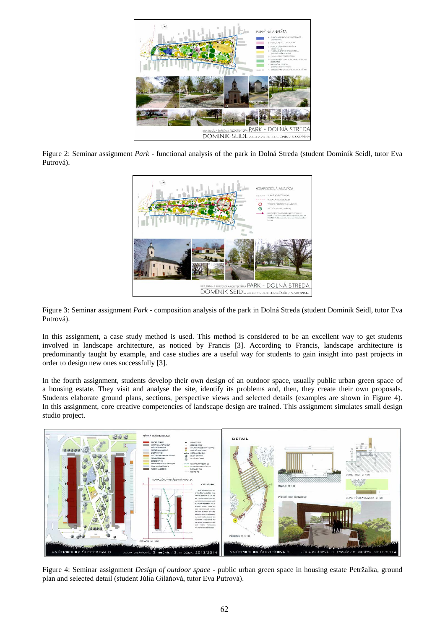

Figure 2: Seminar assignment *Park* - functional analysis of the park in Dolná Streda (student Dominik Seidl, tutor Eva Putrová).



Figure 3: Seminar assignment *Park* - composition analysis of the park in Dolná Streda (student Dominik Seidl, tutor Eva Putrová).

In this assignment, a case study method is used. This method is considered to be an excellent way to get students involved in landscape architecture, as noticed by Francis [3]. According to Francis, landscape architecture is predominantly taught by example, and case studies are a useful way for students to gain insight into past projects in order to design new ones successfully [3].

In the fourth assignment, students develop their own design of an outdoor space, usually public urban green space of a housing estate. They visit and analyse the site, identify its problems and, then, they create their own proposals. Students elaborate ground plans, sections, perspective views and selected details (examples are shown in Figure 4). In this assignment, core creative competencies of landscape design are trained. This assignment simulates small design studio project.



Figure 4: Seminar assignment *Design of outdoor space* - public urban green space in housing estate Petržalka, ground plan and selected detail (student Júlia Giláňová, tutor Eva Putrová).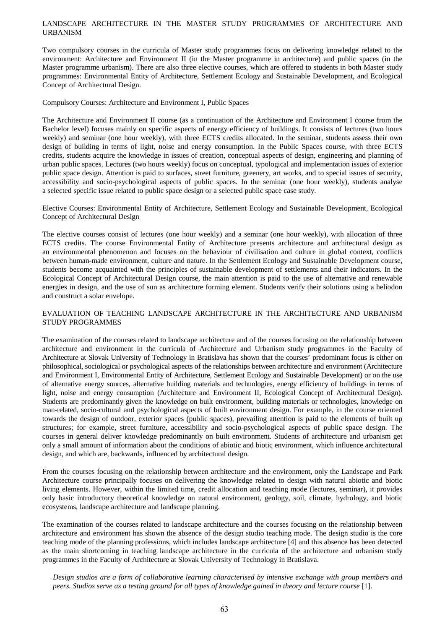#### LANDSCAPE ARCHITECTURE IN THE MASTER STUDY PROGRAMMES OF ARCHITECTURE AND URBANISM

Two compulsory courses in the curricula of Master study programmes focus on delivering knowledge related to the environment: Architecture and Environment II (in the Master programme in architecture) and public spaces (in the Master programme urbanism). There are also three elective courses, which are offered to students in both Master study programmes: Environmental Entity of Architecture, Settlement Ecology and Sustainable Development, and Ecological Concept of Architectural Design.

Compulsory Courses: Architecture and Environment I, Public Spaces

The Architecture and Environment II course (as a continuation of the Architecture and Environment I course from the Bachelor level) focuses mainly on specific aspects of energy efficiency of buildings. It consists of lectures (two hours weekly) and seminar (one hour weekly), with three ECTS credits allocated. In the seminar, students assess their own design of building in terms of light, noise and energy consumption. In the Public Spaces course, with three ECTS credits, students acquire the knowledge in issues of creation, conceptual aspects of design, engineering and planning of urban public spaces. Lectures (two hours weekly) focus on conceptual, typological and implementation issues of exterior public space design. Attention is paid to surfaces, street furniture, greenery, art works, and to special issues of security, accessibility and socio-psychological aspects of public spaces. In the seminar (one hour weekly), students analyse a selected specific issue related to public space design or a selected public space case study.

Elective Courses: Environmental Entity of Architecture, Settlement Ecology and Sustainable Development, Ecological Concept of Architectural Design

The elective courses consist of lectures (one hour weekly) and a seminar (one hour weekly), with allocation of three ECTS credits. The course Environmental Entity of Architecture presents architecture and architectural design as an environmental phenomenon and focuses on the behaviour of civilisation and culture in global context, conflicts between human-made environment, culture and nature. In the Settlement Ecology and Sustainable Development course, students become acquainted with the principles of sustainable development of settlements and their indicators. In the Ecological Concept of Architectural Design course, the main attention is paid to the use of alternative and renewable energies in design, and the use of sun as architecture forming element. Students verify their solutions using a heliodon and construct a solar envelope.

## EVALUATION OF TEACHING LANDSCAPE ARCHITECTURE IN THE ARCHITECTURE AND URBANISM STUDY PROGRAMMES

The examination of the courses related to landscape architecture and of the courses focusing on the relationship between architecture and environment in the curricula of Architecture and Urbanism study programmes in the Faculty of Architecture at Slovak University of Technology in Bratislava has shown that the courses' predominant focus is either on philosophical, sociological or psychological aspects of the relationships between architecture and environment (Architecture and Environment I, Environmental Entity of Architecture, Settlement Ecology and Sustainable Development) or on the use of alternative energy sources, alternative building materials and technologies, energy efficiency of buildings in terms of light, noise and energy consumption (Architecture and Environment II, Ecological Concept of Architectural Design). Students are predominantly given the knowledge on built environment, building materials or technologies, knowledge on man-related, socio-cultural and psychological aspects of built environment design. For example, in the course oriented towards the design of outdoor, exterior spaces (public spaces), prevailing attention is paid to the elements of built up structures; for example, street furniture, accessibility and socio-psychological aspects of public space design. The courses in general deliver knowledge predominantly on built environment. Students of architecture and urbanism get only a small amount of information about the conditions of abiotic and biotic environment, which influence architectural design, and which are, backwards, influenced by architectural design.

From the courses focusing on the relationship between architecture and the environment, only the Landscape and Park Architecture course principally focuses on delivering the knowledge related to design with natural abiotic and biotic living elements. However, within the limited time, credit allocation and teaching mode (lectures, seminar), it provides only basic introductory theoretical knowledge on natural environment, geology, soil, climate, hydrology, and biotic ecosystems, landscape architecture and landscape planning.

The examination of the courses related to landscape architecture and the courses focusing on the relationship between architecture and environment has shown the absence of the design studio teaching mode. The design studio is the core teaching mode of the planning professions, which includes landscape architecture [4] and this absence has been detected as the main shortcoming in teaching landscape architecture in the curricula of the architecture and urbanism study programmes in the Faculty of Architecture at Slovak University of Technology in Bratislava.

*Design studios are a form of collaborative learning characterised by intensive exchange with group members and peers. Studios serve as a testing ground for all types of knowledge gained in theory and lecture course* [1].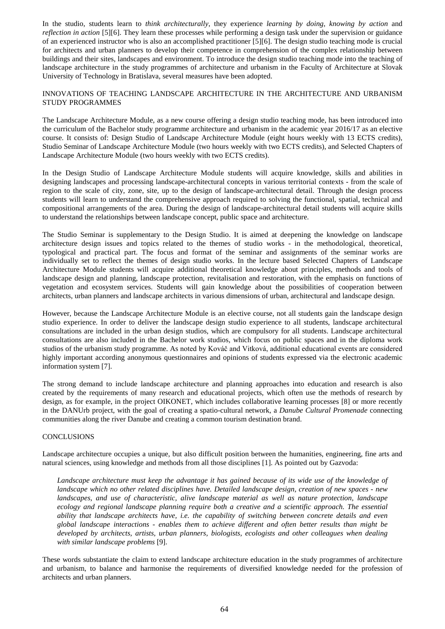In the studio, students learn to *think architecturally*, they experience *learning by doing*, *knowing by action* and *reflection in action* [5][6]. They learn these processes while performing a design task under the supervision or guidance of an experienced instructor who is also an accomplished practitioner [5][6]. The design studio teaching mode is crucial for architects and urban planners to develop their competence in comprehension of the complex relationship between buildings and their sites, landscapes and environment. To introduce the design studio teaching mode into the teaching of landscape architecture in the study programmes of architecture and urbanism in the Faculty of Architecture at Slovak University of Technology in Bratislava, several measures have been adopted.

## INNOVATIONS OF TEACHING LANDSCAPE ARCHITECTURE IN THE ARCHITECTURE AND URBANISM STUDY PROGRAMMES

The Landscape Architecture Module, as a new course offering a design studio teaching mode, has been introduced into the curriculum of the Bachelor study programme architecture and urbanism in the academic year 2016/17 as an elective course. It consists of: Design Studio of Landscape Architecture Module (eight hours weekly with 13 ECTS credits), Studio Seminar of Landscape Architecture Module (two hours weekly with two ECTS credits), and Selected Chapters of Landscape Architecture Module (two hours weekly with two ECTS credits).

In the Design Studio of Landscape Architecture Module students will acquire knowledge, skills and abilities in designing landscapes and processing landscape-architectural concepts in various territorial contexts - from the scale of region to the scale of city, zone, site, up to the design of landscape-architectural detail. Through the design process students will learn to understand the comprehensive approach required to solving the functional, spatial, technical and compositional arrangements of the area. During the design of landscape-architectural detail students will acquire skills to understand the relationships between landscape concept, public space and architecture.

The Studio Seminar is supplementary to the Design Studio. It is aimed at deepening the knowledge on landscape architecture design issues and topics related to the themes of studio works - in the methodological, theoretical, typological and practical part. The focus and format of the seminar and assignments of the seminar works are individually set to reflect the themes of design studio works. In the lecture based Selected Chapters of Landscape Architecture Module students will acquire additional theoretical knowledge about principles, methods and tools of landscape design and planning, landscape protection, revitalisation and restoration, with the emphasis on functions of vegetation and ecosystem services. Students will gain knowledge about the possibilities of cooperation between architects, urban planners and landscape architects in various dimensions of urban, architectural and landscape design.

However, because the Landscape Architecture Module is an elective course, not all students gain the landscape design studio experience. In order to deliver the landscape design studio experience to all students, landscape architectural consultations are included in the urban design studios, which are compulsory for all students. Landscape architectural consultations are also included in the Bachelor work studios, which focus on public spaces and in the diploma work studios of the urbanism study programme. As noted by Kováč and Vitková, additional educational events are considered highly important according anonymous questionnaires and opinions of students expressed via the electronic academic information system [7].

The strong demand to include landscape architecture and planning approaches into education and research is also created by the requirements of many research and educational projects, which often use the methods of research by design, as for example, in the project OIKONET, which includes collaborative learning processes [8] or more recently in the DANUrb project, with the goal of creating a spatio-cultural network, a *Danube Cultural Promenade* connecting communities along the river Danube and creating a common tourism destination brand.

## **CONCLUSIONS**

Landscape architecture occupies a unique, but also difficult position between the humanities, engineering, fine arts and natural sciences, using knowledge and methods from all those disciplines [1]. As pointed out by Gazvoda:

Landscape architecture must keep the advantage it has gained because of its wide use of the knowledge of *landscape which no other related disciplines have. Detailed landscape design, creation of new spaces - new landscapes, and use of characteristic, alive landscape material as well as nature protection, landscape ecology and regional landscape planning require both a creative and a scientific approach. The essential ability that landscape architects have, i.e. the capability of switching between concrete details and even global landscape interactions - enables them to achieve different and often better results than might be developed by architects, artists, urban planners, biologists, ecologists and other colleagues when dealing with similar landscape problems* [9].

These words substantiate the claim to extend landscape architecture education in the study programmes of architecture and urbanism, to balance and harmonise the requirements of diversified knowledge needed for the profession of architects and urban planners.